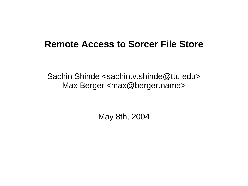### **Remote Access to Sorcer File Store**

Sachin Shinde <sachin.v.shinde@ttu.edu> Max Berger <max@berger.name>

May 8th, 2004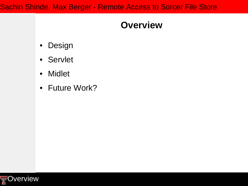### **Overview**

- Design
- Servlet
- Midlet
- Future Work?

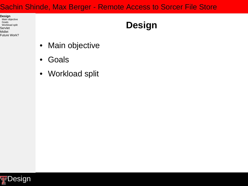**Design**

Main objective Goals Workload split Servlet Midlet Future Work?

# **Design**

- Main objective
- Goals
- Workload split

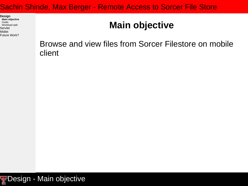**Design Main objective** Goals Workload split Servlet Midlet Future Work?

## **Main objective**

Browse and view files from Sorcer Filestore on mobile client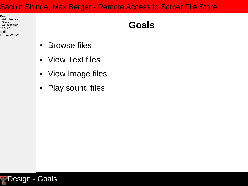**Design** Main objective **Goals** Workload split Servlet Midlet Future Work?

### **Goals**

- Browse files
- View Text files
- View Image files
- Play sound files

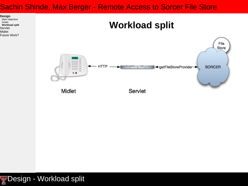**Design** Main objective Goals **Workload split** Servlet Midlet Future Work?

### **Workload split**

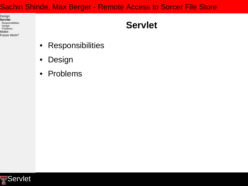Design **Servlet** Responsibilities Design Problems Midlet Future Work?

### **Servlet**

- Responsibilities
- Design
- Problems

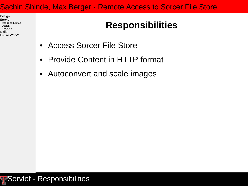Design **Servlet Responsibilities** Design Problems Midlet Future Work?

# **Responsibilities**

- Access Sorcer File Store
- Provide Content in HTTP format
- Autoconvert and scale images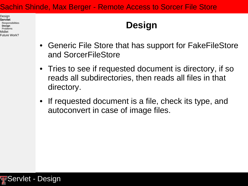Design **Servlet** Responsibilities **Design** Problems Midlet Future Work?

### **Design**

- Generic File Store that has support for FakeFileStore and SorcerFileStore
- Tries to see if requested document is directory, if so reads all subdirectories, then reads all files in that directory.
- If requested document is a file, check its type, and autoconvert in case of image files.

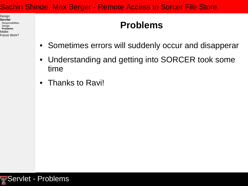Design **Servlet** Responsibilities Design **Problems** Midlet Future Work?

### **Problems**

- Sometimes errors will suddenly occur and disapperar
- Understanding and getting into SORCER took some time
- Thanks to Ravi!

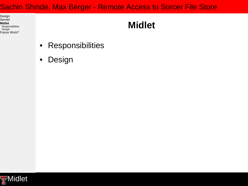Design Servlet **Midlet Responsibilities** Design Future Work?

# **Midlet**

- Responsibilities
- Design

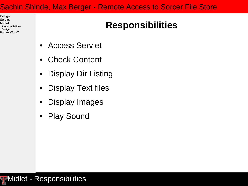Design Servlet **Midlet Responsibilities** Design Future Work?

# **Responsibilities**

- Access Servlet
- Check Content
- Display Dir Listing
- Display Text files
- Display Images
- Play Sound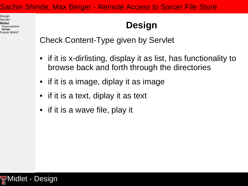Design Servlet **Midlet Responsibilities Design** Future Work?

# **Design**

Check Content-Type given by Servlet

- if it is x-dirlisting, display it as list, has functionality to browse back and forth through the directories
- if it is a image, diplay it as image
- if it is a text, diplay it as text
- if it is a wave file, play it

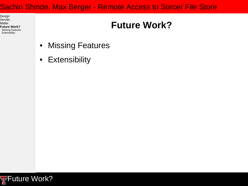Design Servlet Midlet **Future Work?** Missing Features Extensibility

# **Future Work?**

- Missing Features
- Extensibility

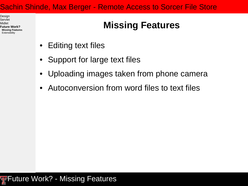Design Servlet Midlet **Future Work? Missing Features Extensibility** 

# **Missing Features**

- Editing text files
- Support for large text files
- Uploading images taken from phone camera
- Autoconversion from word files to text files